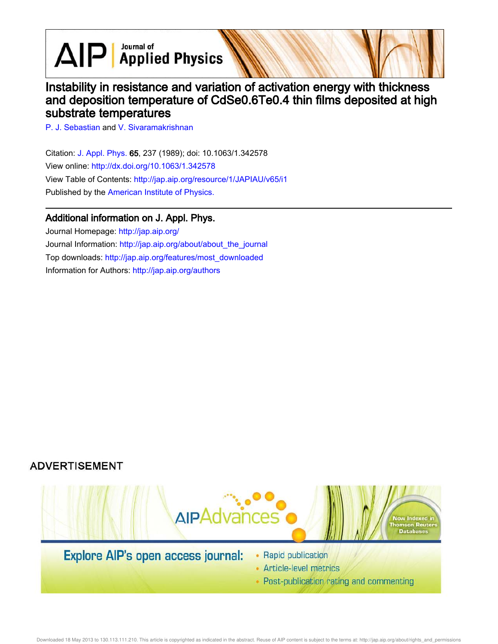$\text{AlP}$  Applied Physics

# Instability in resistance and variation of activation energy with thickness and deposition temperature of CdSe0.6Te0.4 thin films deposited at high substrate temperatures

P. J. Sebastian and V. Sivaramakrishnan

Citation: J. Appl. Phys. 65, 237 (1989); doi: 10.1063/1.342578 View online: http://dx.doi.org/10.1063/1.342578 View Table of Contents: http://jap.aip.org/resource/1/JAPIAU/v65/i1 Published by the American Institute of Physics.

### Additional information on J. Appl. Phys.

Journal Homepage: http://jap.aip.org/ Journal Information: http://jap.aip.org/about/about\_the\_journal Top downloads: http://jap.aip.org/features/most\_downloaded Information for Authors: http://jap.aip.org/authors

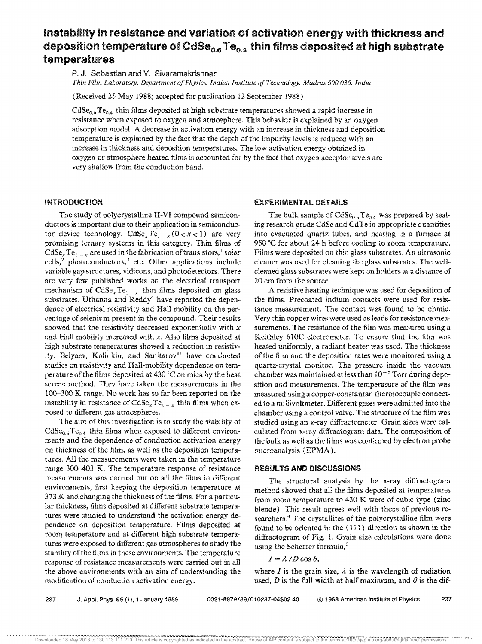## Instability in resistance and variation of activation energy with thickness and deposition temperature of CdSe<sub>0.6</sub> Te<sub>0.4</sub> thin films deposited at high substrate temperatures

P. J. Sebastian and V. Sivaramakrishnan

*Thin Film Laboratory, Department 0/ Indian Institute a/Technology, Madras 600 036, India* 

(Received 25 May 1988; accepted for publication 12 September 1988)

CdSe<sub>0.6</sub> Te<sub>0.4</sub> thin films deposited at high substrate temperatures showed a rapid increase in resistance when exposed to oxygen and atmosphere. This behavior is explained by an oxygen adsorption model, A decrease in activation energy with an increase in thickness and deposition temperature is explained by the fact that the depth of the impurity levels is reduced with an increase in thickness and deposition temperatures. The low activation energy obtained in oxygen or atmosphere heated films is accounted for by the fact that oxygen acceptor levels are very shallow from the conduction band.

#### **INTRODUCTION**

The study of polycrystalline II-VI compound semiconductors is important due to their application in semiconductor device technology.  $CdSe_xTe_{1+x}(0 < x < 1)$  are very promising ternary systems in this category. Thin films of  $CdSe<sub>x</sub>Te<sub>1</sub>$ <sub>x</sub> are used in the fabrication of transistors,<sup>1</sup> solar cells,<sup>2</sup> photoconductors,<sup>3</sup> etc. Other applications include variable gap structures, vidicons, and photodetectors. There are very few published works on the electrical transport mechanism of  $CdSe<sub>x</sub>Te<sub>1</sub>$ , thin films deposited on glass substrates. Uthanna and Reddy<sup>4</sup> have reported the dependence of electrical resistivity and Hall mobility on the percentage of selenium present in the compound. Their results showed that the resistivity decreased exponentially with *x*  and Hall mobility increased with *x.* Also films deposited at high substrate temperatures showed a reduction in resistivity. Belyaev, Kalinkin, and Sanitarov<sup>11</sup> have conducted studies on resistivity and Hall-mobility dependence on temperature of the films deposited at 430"C on mica by the heat screen method. They have taken the measurements in the 100-300 K range. No work has so far been reported on the instability in resistance of  $CdSe_xTe_{1-x}$  thin films when exposed to different gas atmospheres.

The aim of this investigation is to study the stability of  $CdSe_{0.6}Te_{0.4}$  thin films when exposed to different environments and the dependence of conduction activation energy on thickness of the film, as well as the deposition temperatures. All the measurements were taken in the temperature range 300-403 K, The temperature response of resistance measurements was carried out on all the films in different environments, first keeping the deposition temperature at 373 K and changing the thickness of the films, For a particular thickness, films deposited at different substrate temperatures were studied to understand the activation energy dependence on deposition temperature. Films deposited at room temperature and at different high substrate temperatures were exposed to different gas atmospheres to study the stability of the films in these environments. The temperature response of resistance measurements were carried out in all the above environments with an aim of understanding the modification of conduction activation energy.

#### EXPERIMENTAL DETAILS

The bulk sample of  $CdSe_{0.6}Te_{0.4}$  was prepared by sealing research grade CdSe and CdTe in appropriate quantities into evacuated quartz tubes, and heating in a furnace at 950 °C for about 24 h before cooling to room temperature. Films were deposited on thin glass substrates. An ultrasonic cleaner was used for cleaning the glass substrates. The wellcleaned glass substrates were kept on holders at a distance of 20 em from the source.

A resistive heating technique was used for deposition of the films. Precoated indium contacts were used for resistance measurement. The contact was found to be ohmic. Very thin copper wires were used as leads for resistance measurements. The resistance of the film was measured using a Keithley 610C electrometer. To ensure that the film was heated uniformly, a radiant heater was used. The thickness of the film and the deposition rates were monitored using a quartz-crystal monitor. The pressure inside the vacuum chamber was maintained at less than  $10^{-5}$  Torr during deposition and measurements. The temperature of the film was measured using a copper-constantan thermocouple connected to a millivoltmeter. Different gases were admitted into the chamber using a control valve. The structure of the film was studied using an x-ray diffractometer. Grain sizes were calculated from x-ray diffractogram data. The composition of the bulk as well as the films was confirmed by electron probe microanalysis (EPMA).

#### RESULTS AND DISCUSSIONS

The structural analysis by the x-ray diffractogram method showed that all the films deposited at temperatures from room temperature to 430 K were of cubic type (zinc blende). This result agrees well with those of previous researchers.<sup>4</sup> The crystallites of the polycrystalline film were found to be oriented in the (111) direction as shown in the diffractogram of Fig. 1. Grain size calculations were done using the Scherrer formula,<sup>5</sup>

 $I = \lambda/D \cos \theta$ ,

where *I* is the grain size,  $\lambda$  is the wavelength of radiation used,  $D$  is the full width at half maximum, and  $\theta$  is the dif-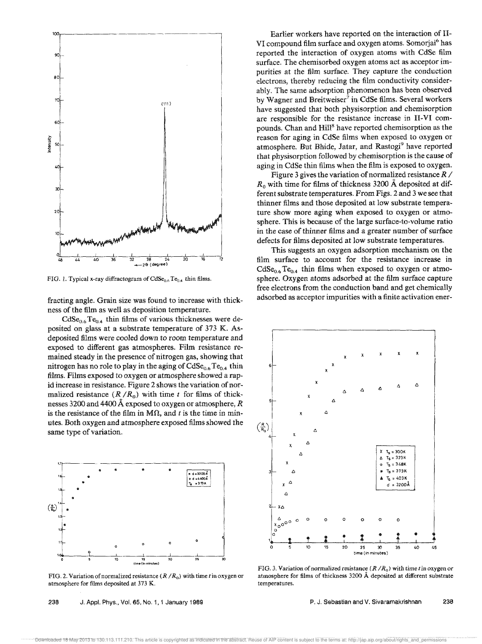

FIG. 1. Typical x-ray diffractogram of  $CdSe_{0.6}Te_{0.4}$  thin films.

fracting angle. Grain size was found to increase with thickness of the film as well as deposition temperature.

 $CdSe<sub>0.6</sub>Te<sub>0.4</sub>$  thin films of various thicknesses were deposited on glass at a substrate temperature of 373 K. Asdeposited films were cooled down to room temperature and exposed to different gas atmospheres. Film resistance remained steady in the presence of nitrogen gas, showing that nitrogen has no role to play in the aging of  $CdSe<sub>0.6</sub>Te<sub>0.4</sub>$  thin films. Films exposed to oxygen or atmosphere showed a rapid increase in resistance. Figure 2 shows the variation of normalized resistance  $(R/R_0)$  with time t for films of thicknesses 3200 and 4400 A exposed to oxygen or atmosphere, *R*  is the resistance of the film in M $\Omega$ , and t is the time in minutes. Both oxygen and atmosphere exposed films showed the same type of variation.



FIG. 2. Variation of normalized resistance  $(R/R_0)$  with time t in oxygen or atmosphere for films deposited at 373 K.

238 J. Appl. Phys., Vol. 65, No.1, 1 January 1989

Earlier workers have reported on the interaction of II-VI compound film surface and oxygen atoms. Somorjai<sup>6</sup> has reported the interaction of oxygen atoms with CdSe film surface. The chemisorbed oxygen atoms act as acceptor impurities at the film surface. They capture the conduction electrons, thereby reducing the film conductivity considerably. The same adsorption phenomenon has been observed by Wagner and Breitweiser<sup>7</sup> in CdSe films. Several workers have suggested that both physisorption and chemisorption are responsible for the resistance increase in II-VI compounds. Chan and Hill<sup>8</sup> have reported chemisorption as the reason for aging in CdSe films when exposed to oxygen or atmosphere. But Bhide, Jatar, and Rastogi<sup>9</sup> have reported that physisorption followed by chemisorption is the cause of aging in CdSe thin films when the film is exposed to oxygen.

Figure 3 gives the variation of normalized resistance *R / Ro* with time for films of thickness 3200 A deposited at different substrate temperatures. From Figs. 2 and 3 we see that thinner films and those deposited at low substrate temperature show more aging when exposed to oxygen or atmosphere. This is because of the large surface-to-volume ratio in the case of thinner films and a greater number of surface defects for films deposited at low substrate temperatures.

This suggests an oxygen adsorption mechanism on the film surface to account for the resistance increase in  $CdSe<sub>0.6</sub>Te<sub>0.4</sub>$  thin films when exposed to oxygen or atmosphere. Oxygen atoms adsorbed at the film surface capture free electrons from the conduction band and get chemically adsorbed as acceptor impurities with a finite activation ener-



FIG. 3. Variation of normalized resistance ( $R/R<sub>0</sub>$ ) with time t in oxygen or atmosphere for films of thickness 3200 A deposited at different substrate temperatures.

P. J. Sebastian and V. Sivaramakrishnan 238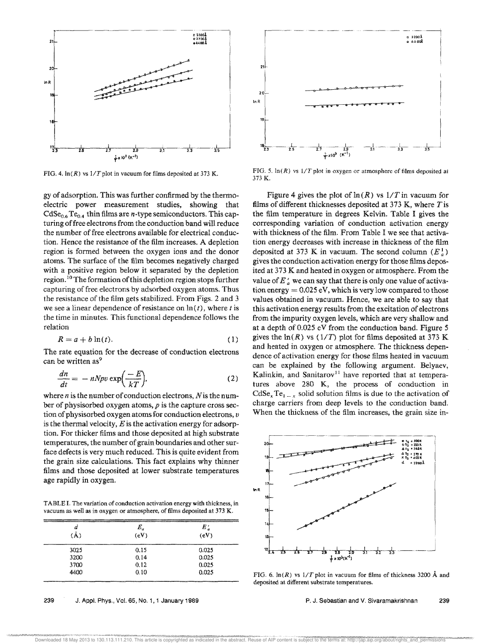

FIG. 4.  $\ln(R)$  vs  $1/T$  plot in vacuum for films deposited at 373 K.

gy of adsorption. This was further confirmed by the thermoelectric power measurement studies, showing that  $CdSe_{0.6}Te_{0.4}$  thin films are *n*-type semiconductors. This capturing of free electrons from the conduction band will reduce the number of free electrons available for electrical conduction. Hence the resistance of the film increases. A depletion region is formed between the oxygen ions and the donor atoms. The surface of the film becomes negatively charged with a positive region below it separated by the depletion region.<sup>10</sup> The formation of this depletion region stops further capturing of free electrons by adsorbed oxygen atoms. Thus the resistance of the film gets stabilized. From Figs. 2 and 3 we see a linear dependence of resistance on  $\ln(t)$ , where t is the time in minutes. This functional dependence follows the relation

$$
R = a + b \ln(t). \tag{1}
$$

The rate equation for the decrease of conduction electrons can be written as<sup>9</sup>

$$
\frac{dn}{dt} = -nNpv \exp\left(\frac{-E}{kT}\right),\tag{2}
$$

where  $n$  is the number of conduction electrons,  $N$  is the number of physisorbed oxygen atoms,  $p$  is the capture cross section of physisorbed oxygen atoms for conduction electrons, v is the thermal velocity,  $E$  is the activation energy for adsorption. For thicker films and those deposited at high substrate temperatures, the number of grain boundaries and other surface defects is very much reduced. This is quite evident from the grain size calculations. This fact explains why thinner films and those deposited at lower substrate temperatures age rapidly in oxygen.

TABLE I. The variation of conduction activation energy with thickness, in vacuum as well as in oxygen or atmosphere, of films deposited at 373 K.

| <b><i><u>PERSONAL PROPERTY AND IN THE REAL PROPERTY.</u></i></b><br>a<br>(Å) | re di Romano e un correlato de manor e creditto e su consta<br>and a statement of the state of the state of the state of the state of the state of the state of the<br>$E_a$<br>(eV) | E.<br>(eV) |
|------------------------------------------------------------------------------|--------------------------------------------------------------------------------------------------------------------------------------------------------------------------------------|------------|
|                                                                              |                                                                                                                                                                                      |            |
| 3200                                                                         | 0.14                                                                                                                                                                                 | 0.025      |
| 3700                                                                         | 0.12                                                                                                                                                                                 | 0.025      |
| 4400                                                                         | 0.10                                                                                                                                                                                 | 0.025      |
|                                                                              |                                                                                                                                                                                      |            |





FIG. 5.  $\ln(R)$  vs  $1/T$  plot in oxygen or atmosphere of films deposited at 373 K.

Figure 4 gives the plot of  $\ln(R)$  vs  $1/T$  in vacuum for films of different thicknesses deposited at 373 K, where  $T$  is the film temperature in degrees Kelvin. Table I gives the corresponding variation of conduction activation energy with thickness of the film. From Table I we see that activation energy decreases with increase in thickness of the film deposited at 373 K in vacuum. The second column  $(E_{\alpha}^{\perp})$ gives the conduction activation energy for those films deposited at 373 K and heated in oxygen or atmosphere. From the value of  $E'_{a}$  we can say that there is only one value of activation energy  $= 0.025$  eV, which is very low compared to those values obtained in vacuum. Hence, we are able to say that this activation energy results from the excitation of electrons from the impurity oxygen levels, which are very shallow and at a depth of 0.025 eV from the conduction band. Figure 5 gives the  $\ln(R)$  vs (1/T) plot for films deposited at 373 K and heated in oxygen or atmosphere. The thickness dependence of activation energy for those films heated in vacuum can be explained by the following argument. Belyaev, Kalinkin, and Sanitarov<sup>11</sup> have reported that at temperatures above 280 K, the process of conduction in  $CdSe<sub>x</sub>Te<sub>1-x</sub>$  solid solution films is due to the activation of charge carriers from deep levels to the conduction band. When the thickness of the film increases, the grain size in-



FIG. 6.  $\ln(R)$  vs  $1/T$  plot in vacuum for films of thickness 3200 Å and deposited at different substrate temperatures.

P. J. Sebastian and V. Sivaramakrishnan 239